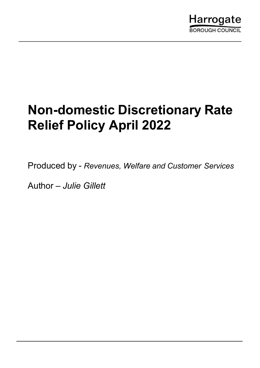

# Non-domestic Discretionary Rate Relief Policy April 2022

Produced by - Revenues, Welfare and Customer Services

Author – Julie Gillett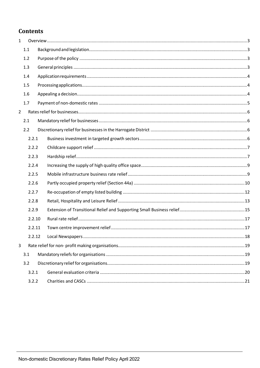# **Contents**

| $\mathbf{1}$   |        |  |  |
|----------------|--------|--|--|
|                | 1.1    |  |  |
|                | 1.2    |  |  |
|                | 1.3    |  |  |
|                | 1.4    |  |  |
|                | 1.5    |  |  |
|                | 1.6    |  |  |
|                | 1.7    |  |  |
| $\overline{2}$ |        |  |  |
|                | 2.1    |  |  |
|                | 2.2    |  |  |
|                | 2.2.1  |  |  |
|                | 2.2.2  |  |  |
|                | 2.2.3  |  |  |
|                | 2.2.4  |  |  |
|                | 2.2.5  |  |  |
|                | 2.2.6  |  |  |
|                | 2.2.7  |  |  |
|                | 2.2.8  |  |  |
|                | 2.2.9  |  |  |
|                | 2.2.10 |  |  |
|                | 2.2.11 |  |  |
|                | 2.2.12 |  |  |
| 3              |        |  |  |
|                | 3.1    |  |  |
|                | 3.2    |  |  |
|                | 3.2.1  |  |  |
|                | 3.2.2  |  |  |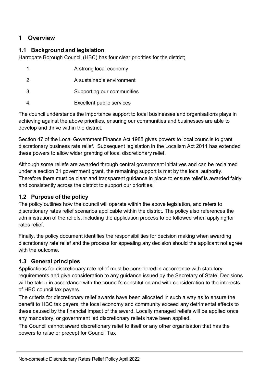# 1 Overview

## 1.1 Background and legislation

Harrogate Borough Council (HBC) has four clear priorities for the district;

| 1.            | A strong local economy     |
|---------------|----------------------------|
| $\mathcal{P}$ | A sustainable environment  |
| 3.            | Supporting our communities |
|               | Excellent public services  |

The council understands the importance support to local businesses and organisations plays in achieving against the above priorities, ensuring our communities and businesses are able to develop and thrive within the district.

Section 47 of the Local Government Finance Act 1988 gives powers to local councils to grant discretionary business rate relief. Subsequent legislation in the Localism Act 2011 has extended these powers to allow wider granting of local discretionary relief.

Although some reliefs are awarded through central government initiatives and can be reclaimed under a section 31 government grant, the remaining support is met by the local authority. Therefore there must be clear and transparent guidance in place to ensure relief is awarded fairly and consistently across the district to support our priorities.

## 1.2 Purpose of the policy

The policy outlines how the council will operate within the above legislation, and refers to discretionary rates relief scenarios applicable within the district. The policy also references the administration of the reliefs, including the application process to be followed when applying for rates relief.

Finally, the policy document identifies the responsibilities for decision making when awarding discretionary rate relief and the process for appealing any decision should the applicant not agree with the outcome.

## 1.3 General principles

Applications for discretionary rate relief must be considered in accordance with statutory requirements and give consideration to any guidance issued by the Secretary of State. Decisions will be taken in accordance with the council's constitution and with consideration to the interests of HBC council tax payers.

The criteria for discretionary relief awards have been allocated in such a way as to ensure the benefit to HBC tax payers, the local economy and community exceed any detrimental effects to these caused by the financial impact of the award. Locally managed reliefs will be applied once any mandatory, or government led discretionary reliefs have been applied.

The Council cannot award discretionary relief to itself or any other organisation that has the powers to raise or precept for Council Tax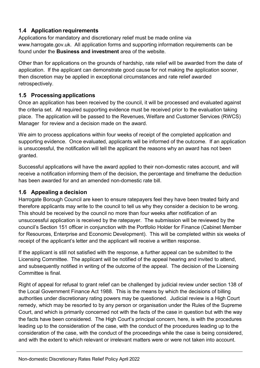# 1.4 Application requirements

Applications for mandatory and discretionary relief must be made online via www.harrogate.gov.uk. All application forms and supporting information requirements can be found under the Business and investment area of the website.

Other than for applications on the grounds of hardship, rate relief will be awarded from the date of application. If the applicant can demonstrate good cause for not making the application sooner, then discretion may be applied in exceptional circumstances and rate relief awarded retrospectively.

## 1.5 Processing applications

Once an application has been received by the council, it will be processed and evaluated against the criteria set. All required supporting evidence must be received prior to the evaluation taking place. The application will be passed to the Revenues, Welfare and Customer Services (RWCS) Manager for review and a decision made on the award.

We aim to process applications within four weeks of receipt of the completed application and supporting evidence. Once evaluated, applicants will be informed of the outcome. If an application is unsuccessful, the notification will tell the applicant the reasons why an award has not been granted.

Successful applications will have the award applied to their non-domestic rates account, and will receive a notification informing them of the decision, the percentage and timeframe the deduction has been awarded for and an amended non-domestic rate bill.

## 1.6 Appealing a decision

Harrogate Borough Council are keen to ensure ratepayers feel they have been treated fairly and therefore applicants may write to the council to tell us why they consider a decision to be wrong. This should be received by the council no more than four weeks after notification of an unsuccessful application is received by the ratepayer. The submission will be reviewed by the council's Section 151 officer in conjunction with the Portfolio Holder for Finance (Cabinet Member for Resources, Enterprise and Economic Development). This will be completed within six weeks of receipt of the applicant's letter and the applicant will receive a written response.

If the applicant is still not satisfied with the response, a further appeal can be submitted to the Licensing Committee. The applicant will be notified of the appeal hearing and invited to attend, and subsequently notified in writing of the outcome of the appeal. The decision of the Licensing Committee is final.

Right of appeal for refusal to grant relief can be challenged by judicial review under section 138 of the Local Government Finance Act 1988. This is the means by which the decisions of billing authorities under discretionary rating powers may be questioned. Judicial review is a High Court remedy, which may be resorted to by any person or organisation under the Rules of the Supreme Court, and which is primarily concerned not with the facts of the case in question but with the way the facts have been considered. The High Court's principal concern, here, is with the procedures leading up to the consideration of the case, with the conduct of the procedures leading up to the consideration of the case, with the conduct of the proceedings while the case is being considered, and with the extent to which relevant or irrelevant matters were or were not taken into account.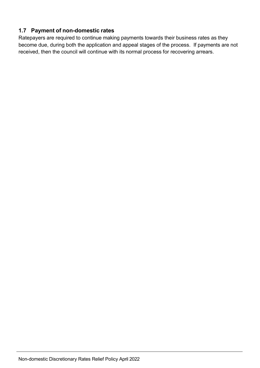# 1.7 Payment of non-domestic rates

Ratepayers are required to continue making payments towards their business rates as they become due, during both the application and appeal stages of the process. If payments are not received, then the council will continue with its normal process for recovering arrears.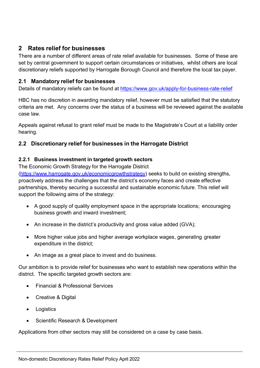# 2 Rates relief for businesses

There are a number of different areas of rate relief available for businesses. Some of these are set by central government to support certain circumstances or initiatives, whilst others are local discretionary reliefs supported by Harrogate Borough Council and therefore the local tax payer.

## 2.1 Mandatory relief for businesses

Details of mandatory reliefs can be found at https://www.gov.uk/apply-for-business-rate-relief

HBC has no discretion in awarding mandatory relief, however must be satisfied that the statutory criteria are met. Any concerns over the status of a business will be reviewed against the available case law.

Appeals against refusal to grant relief must be made to the Magistrate's Court at a liability order hearing.

## 2.2 Discretionary relief for businesses in the Harrogate District

#### 2.2.1 Business investment in targeted growth sectors

The Economic Growth Strategy for the Harrogate District

(https://www.harrogate.gov.uk/economicgrowthstrategy) seeks to build on existing strengths, proactively address the challenges that the district's economy faces and create effective partnerships, thereby securing a successful and sustainable economic future. This relief will support the following aims of the strategy:

- A good supply of quality employment space in the appropriate locations; encouraging business growth and inward investment;
- An increase in the district's productivity and gross value added (GVA);
- More higher value jobs and higher average workplace wages, generating greater expenditure in the district;
- An image as a great place to invest and do business.

Our ambition is to provide relief for businesses who want to establish new operations within the district. The specific targeted growth sectors are:

- Financial & Professional Services
- Creative & Digital
- Logistics
- Scientific Research & Development

Applications from other sectors may still be considered on a case by case basis.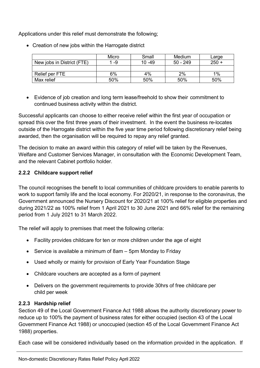Applications under this relief must demonstrate the following;

|                            | Micro | Small     | Medium     | Large   |
|----------------------------|-------|-----------|------------|---------|
| New jobs in District (FTE) | 1 -9  | $10 - 49$ | $50 - 249$ | $250 +$ |
|                            |       |           |            |         |
| Relief per FTE             | 6%    | 4%        | 2%         | 1%      |
| Max relief                 | 50%   | 50%       | 50%        | 50%     |

• Creation of new jobs within the Harrogate district

 Evidence of job creation and long term lease/freehold to show their commitment to continued business activity within the district.

Successful applicants can choose to either receive relief within the first year of occupation or spread this over the first three years of their investment. In the event the business re-locates outside of the Harrogate district within the five year time period following discretionary relief being awarded, then the organisation will be required to repay any relief granted.

The decision to make an award within this category of relief will be taken by the Revenues, Welfare and Customer Services Manager, in consultation with the Economic Development Team, and the relevant Cabinet portfolio holder.

#### 2.2.2 Childcare support relief

The council recognises the benefit to local communities of childcare providers to enable parents to work to support family life and the local economy. For 2020/21, in response to the coronavirus, the Government announced the Nursery Discount for 2020/21 at 100% relief for eligible properties and during 2021/22 as 100% relief from 1 April 2021 to 30 June 2021 and 66% relief for the remaining period from 1 July 2021 to 31 March 2022.

The relief will apply to premises that meet the following criteria:

- Facility provides childcare for ten or more children under the age of eight
- Service is available a minimum of 8am 5pm Monday to Friday
- Used wholly or mainly for provision of Early Year Foundation Stage
- Childcare vouchers are accepted as a form of payment
- Delivers on the government requirements to provide 30hrs of free childcare per child per week

## 2.2.3 Hardship relief

Section 49 of the Local Government Finance Act 1988 allows the authority discretionary power to reduce up to 100% the payment of business rates for either occupied (section 43 of the Local Government Finance Act 1988) or unoccupied (section 45 of the Local Government Finance Act 1988) properties.

Each case will be considered individually based on the information provided in the application. If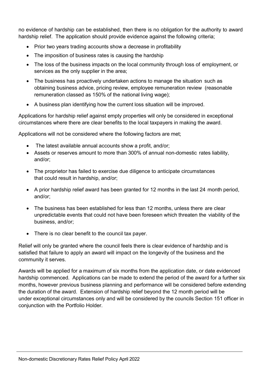no evidence of hardship can be established, then there is no obligation for the authority to award hardship relief. The application should provide evidence against the following criteria;

- Prior two years trading accounts show a decrease in profitability
- The imposition of business rates is causing the hardship
- The loss of the business impacts on the local community through loss of employment, or services as the only supplier in the area;
- The business has proactively undertaken actions to manage the situation such as obtaining business advice, pricing review, employee remuneration review (reasonable remuneration classed as 150% of the national living wage);
- A business plan identifying how the current loss situation will be improved.

Applications for hardship relief against empty properties will only be considered in exceptional circumstances where there are clear benefits to the local taxpayers in making the award.

Applications will not be considered where the following factors are met;

- The latest available annual accounts show a profit, and/or;
- Assets or reserves amount to more than 300% of annual non-domestic rates liability, and/or;
- The proprietor has failed to exercise due diligence to anticipate circumstances that could result in hardship, and/or;
- A prior hardship relief award has been granted for 12 months in the last 24 month period, and/or;
- The business has been established for less than 12 months, unless there are clear unpredictable events that could not have been foreseen which threaten the viability of the business, and/or;
- There is no clear benefit to the council tax payer.

Relief will only be granted where the council feels there is clear evidence of hardship and is satisfied that failure to apply an award will impact on the longevity of the business and the community it serves.

Awards will be applied for a maximum of six months from the application date, or date evidenced hardship commenced. Applications can be made to extend the period of the award for a further six months, however previous business planning and performance will be considered before extending the duration of the award. Extension of hardship relief beyond the 12 month period will be under exceptional circumstances only and will be considered by the councils Section 151 officer in conjunction with the Portfolio Holder.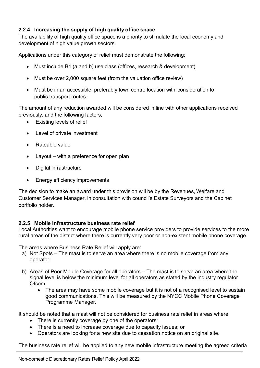## 2.2.4 Increasing the supply of high quality office space

The availability of high quality office space is a priority to stimulate the local economy and development of high value growth sectors.

Applications under this category of relief must demonstrate the following;

- Must include B1 (a and b) use class (offices, research & development)
- Must be over 2,000 square feet (from the valuation office review)
- Must be in an accessible, preferably town centre location with consideration to public transport routes.

The amount of any reduction awarded will be considered in line with other applications received previously, and the following factors;

- Existing levels of relief
- Level of private investment
- Rateable value
- Layout with a preference for open plan
- Digital infrastructure
- Energy efficiency improvements

The decision to make an award under this provision will be by the Revenues, Welfare and Customer Services Manager, in consultation with council's Estate Surveyors and the Cabinet portfolio holder.

#### 2.2.5 Mobile infrastructure business rate relief

Local Authorities want to encourage mobile phone service providers to provide services to the more rural areas of the district where there is currently very poor or non-existent mobile phone coverage.

The areas where Business Rate Relief will apply are:

- a) Not Spots The mast is to serve an area where there is no mobile coverage from any operator.
- b) Areas of Poor Mobile Coverage for all operators The mast is to serve an area where the signal level is below the minimum level for all operators as stated by the industry regulator Ofcom.
	- The area may have some mobile coverage but it is not of a recognised level to sustain good communications. This will be measured by the NYCC Mobile Phone Coverage Programme Manager.

It should be noted that a mast will not be considered for business rate relief in areas where:

- There is currently coverage by one of the operators;
- There is a need to increase coverage due to capacity issues; or
- Operators are looking for a new site due to cessation notice on an original site.

The business rate relief will be applied to any new mobile infrastructure meeting the agreed criteria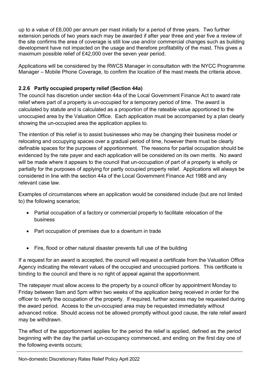up to a value of £6,000 per annum per mast initially for a period of three years. Two further extension periods of two years each may be awarded if after year three and year five a review of the site confirms the area of coverage is still low use and/or commercial changes such as building development have not impacted on the usage and therefore profitability of the mast. This gives a maximum possible relief of £42,000 over the seven year period.

Applications will be considered by the RWCS Manager in consultation with the NYCC Programme Manager – Mobile Phone Coverage, to confirm the location of the mast meets the criteria above.

### 2.2.6 Partly occupied property relief (Section 44a)

The council has discretion under section 44a of the Local Government Finance Act to award rate relief where part of a property is un-occupied for a temporary period of time. The award is calculated by statute and is calculated as a proportion of the rateable value apportioned to the unoccupied area by the Valuation Office. Each application must be accompanied by a plan clearly showing the un-occupied area the application applies to.

The intention of this relief is to assist businesses who may be changing their business model or relocating and occupying spaces over a gradual period of time, however there must be clearly definable spaces for the purposes of apportionment. The reasons for partial occupation should be evidenced by the rate payer and each application will be considered on its own merits. No award will be made where it appears to the council that un-occupation of part of a property is wholly or partially for the purposes of applying for partly occupied property relief. Applications will always be considered in line with the section 44a of the Local Government Finance Act 1988 and any relevant case law.

Examples of circumstances where an application would be considered include (but are not limited to) the following scenarios;

- Partial occupation of a factory or commercial property to facilitate relocation of the business
- Part occupation of premises due to a downturn in trade
- Fire, flood or other natural disaster prevents full use of the building

If a request for an award is accepted, the council will request a certificate from the Valuation Office Agency indicating the relevant values of the occupied and unoccupied portions. This certificate is binding to the council and there is no right of appeal against the apportionment.

The ratepayer must allow access to the property by a council officer by appointment Monday to Friday between 9am and 5pm within two weeks of the application being received in order for the officer to verify the occupation of the property. If required, further access may be requested during the award period. Access to the un-occupied area may be requested immediately without advanced notice. Should access not be allowed promptly without good cause, the rate relief award may be withdrawn.

The effect of the apportionment applies for the period the relief is applied, defined as the period beginning with the day the partial un-occupancy commenced, and ending on the first day one of the following events occurs;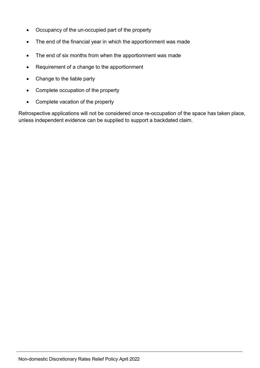- Occupancy of the un-occupied part of the property
- The end of the financial year in which the apportionment was made
- The end of six months from when the apportionment was made
- Requirement of a change to the apportionment
- Change to the liable party
- Complete occupation of the property
- Complete vacation of the property

Retrospective applications will not be considered once re-occupation of the space has taken place, unless independent evidence can be supplied to support a backdated claim.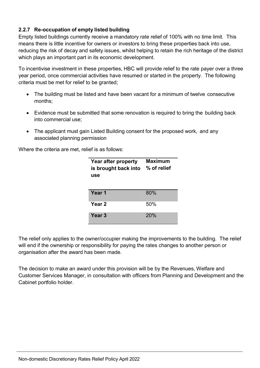## 2.2.7 Re-occupation of empty listed building

Empty listed buildings currently receive a mandatory rate relief of 100% with no time limit. This means there is little incentive for owners or investors to bring these properties back into use, reducing the risk of decay and safety issues, whilst helping to retain the rich heritage of the district which plays an important part in its economic development.

To incentivise investment in these properties, HBC will provide relief to the rate payer over a three year period, once commercial activities have resumed or started in the property. The following criteria must be met for relief to be granted;

- The building must be listed and have been vacant for a minimum of twelve consecutive months;
- Evidence must be submitted that some renovation is required to bring the building back into commercial use;
- The applicant must gain Listed Building consent for the proposed work, and any associated planning permission

Where the criteria are met, relief is as follows:

| Year after property<br>is brought back into<br>use | <b>Maximum</b><br>% of relief |  |
|----------------------------------------------------|-------------------------------|--|
| Year <sub>1</sub>                                  | 80%                           |  |
| Year 2                                             | 50%                           |  |
| Year <sub>3</sub>                                  | 20%                           |  |

The relief only applies to the owner/occupier making the improvements to the building. The relief will end if the ownership or responsibility for paying the rates changes to another person or organisation after the award has been made.

The decision to make an award under this provision will be by the Revenues, Welfare and Customer Services Manager, in consultation with officers from Planning and Development and the Cabinet portfolio holder.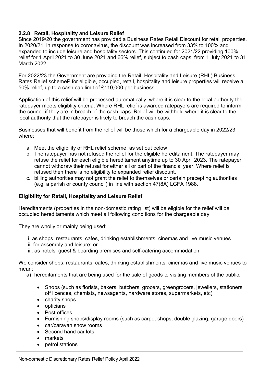#### 2.2.8 Retail, Hospitality and Leisure Relief

Since 2019/20 the government has provided a Business Rates Retail Discount for retail properties. In 2020/21, in response to coronavirus, the discount was increased from 33% to 100% and expanded to include leisure and hospitality sectors. This continued for 2021/22 providing 100% relief for 1 April 2021 to 30 June 2021 and 66% relief, subject to cash caps, from 1 July 2021 to 31 March 2022.

For 2022/23 the Government are providing the Retail, Hospitality and Leisure (RHL) Business Rates Relief schemeP for eligible, occupied, retail, hospitality and leisure properties will receive a 50% relief, up to a cash cap limit of £110,000 per business.

Application of this relief will be processed automatically, where it is clear to the local authority the ratepayer meets eligiblity criteria. Where RHL relief is awarded ratepayers are required to inform the council if they are in breach of the cash caps. Relief will be withheld where it is clear to the local authority that the ratepayer is likely to breach the cash caps.

Businesses that will benefit from the relief will be those which for a chargeable day in 2022/23 where:

- a. Meet the eligibility of RHL relief scheme, as set out below
- b. The ratepayer has not refused the relief for the eligible hereditament. The ratepayer may refuse the relief for each eligible hereditament anytime up to 30 April 2023. The ratepayer cannot withdraw their refusal for either all or part of the financial year. Where relief is refused then there is no eligibility to expanded relief discount.
- c. billing authorities may not grant the relief to themselves or certain precepting authorities (e.g. a parish or county council) in line with section 47(8A) LGFA 1988.

#### Eligibility for Retail, Hospitality and Leisure Relief

Hereditaments (properties in the non-domestic rating list) will be eligible for the relief will be occupied hereditaments which meet all following conditions for the chargeable day:

They are wholly or mainly being used:

- i. as shops, restaurants, cafes, drinking establishments, cinemas and live music venues
- ii. for assembly and leisure; or
- iii. as hotels, guest & boarding premises and self-catering accommodation

We consider shops, restaurants, cafes, drinking establishments, cinemas and live music venues to mean:

a) hereditaments that are being used for the sale of goods to visiting members of the public.

- Shops (such as florists, bakers, butchers, grocers, greengrocers, jewellers, stationers, off licences, chemists, newsagents, hardware stores, supermarkets, etc)
- charity shops
- opticians
- Post offices
- Furnishing shops/display rooms (such as carpet shops, double glazing, garage doors)
- car/caravan show rooms
- Second hand car lots
- markets
- petrol stations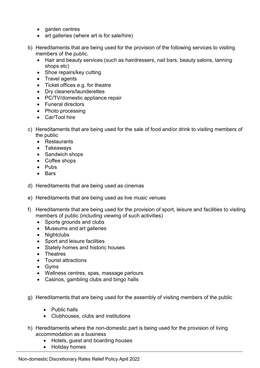- garden centres
- art galleries (where art is for sale/hire)
- b) Hereditaments that are being used for the provision of the following services to visiting members of the public.
	- Hair and beauty services (such as hairdressers, nail bars, beauty salons, tanning shops etc)
	- Shoe repairs/key cutting
	- Travel agents
	- Ticket offices e.g. for theatre
	- Dry cleaners/launderettes
	- PC/TV/domestic appliance repair
	- Funeral directors
	- Photo processing
	- Car/Tool hire
- c) Hereditaments that are being used for the sale of food and/or drink to visiting members of the public
	- Restaurants
	- Takeawavs
	- Sandwich shops
	- Coffee shops
	- $\bullet$  Pubs
	- Bars
- d) Hereditaments that are being used as cinemas
- e) Hereditaments that are being used as live music venues
- f) Hereditaments that are being used for the provision of sport, leisure and facilities to visiting members of public (including viewing of such activities)
	- Sports grounds and clubs
	- Museums and art galleries
	- Nightclubs
	- Sport and leisure facilities
	- Stately homes and historic houses
	- Theatres
	- Tourist attractions
	- Gyms
	- Wellness centres, spas, massage parlours
	- Casinos, gambling clubs and bingo halls
- g) Hereditaments that are being used for the assembly of visiting members of the public
	- Public halls
	- Clubhouses, clubs and institutions
- h) Hereditaments where the non-domestic part is being used for the provision of living accommodation as a business
	- Hotels, guest and boarding houses
	- Holiday homes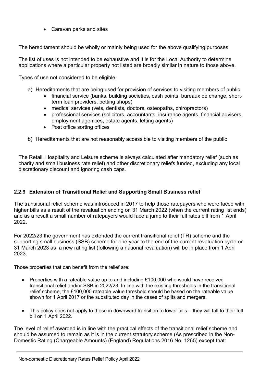Caravan parks and sites

The hereditament should be wholly or mainly being used for the above qualifying purposes.

The list of uses is not intended to be exhaustive and it is for the Local Authority to determine applications where a particular property not listed are broadly similar in nature to those above.

Types of use not considered to be eligible:

- a) Hereditaments that are being used for provision of services to visiting members of public
	- financial service (banks, building societies, cash points, bureaux de change, shortterm loan providers, betting shops)
	- medical services (vets, dentists, doctors, osteopaths, chiropractors)
	- professional services (solicitors, accountants, insurance agents, financial advisers, employment agenices, estate agents, letting agents)
	- Post office sorting offices
- b) Hereditaments that are not reasonably accessible to visiting members of the public

The Retail, Hospitality and Leisure scheme is always calculated after mandatory relief (such as charity and small business rate relief) and other discretionary reliefs funded, excluding any local discretionary discount and ignoring cash caps.

#### 2.2.9 Extension of Transitional Relief and Supporting Small Business relief

The transitional relief scheme was introduced in 2017 to help those ratepayers who were faced with higher bills as a result of the revaluation ending on 31 March 2022 (when the current rating list ends) and as a result a small number of ratepayers would face a jump to their full rates bill from 1 April 2022.

For 2022/23 the government has extended the current transitional relief (TR) scheme and the supporting small business (SSB) scheme for one year to the end of the current revaluation cycle on 31 March 2023 as a new rating list (following a national revaluation) will be in place from 1 April 2023.

Those properties that can benefit from the relief are:

- Properties with a rateable value up to and including £100,000 who would have received transitional relief and/or SSB in 2022/23. In line with the existing thresholds in the transitional relief scheme, the £100,000 rateable value threshold should be based on the rateable value shown for 1 April 2017 or the substituted day in the cases of splits and mergers.
- This policy does not apply to those in downward transition to lower bills they will fall to their full bill on 1 April 2022.

The level of relief awarded is in line with the practical effects of the transitional relief scheme and should be assumed to remain as it is in the current statutory scheme (As prescribed in the Non-Domestic Rating (Chargeable Amounts) (England) Regulations 2016 No. 1265) except that: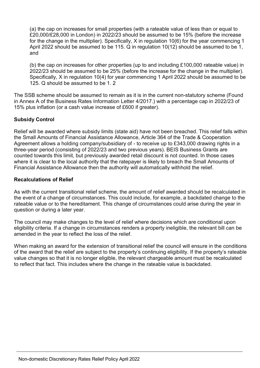(a) the cap on increases for small properties (with a rateable value of less than or equal to £20,000/£28,000 in London) in 2022/23 should be assumed to be 15% (before the increase for the change in the multiplier). Specifically, X in regulation 10(6) for the year commencing 1 April 2022 should be assumed to be 115. Q in regulation 10(12) should be assumed to be 1, and

(b) the cap on increases for other properties (up to and including £100,000 rateable value) in 2022/23 should be assumed to be 25% (before the increase for the change in the multiplier). Specifically, X in regulation 10(4) for year commencing 1 April 2022 should be assumed to be 125. Q should be assumed to be 1. 2

The SSB scheme should be assumed to remain as it is in the current non-statutory scheme (Found in Annex A of the Business Rates Information Letter 4/2017.) with a percentage cap in 2022/23 of 15% plus inflation (or a cash value increase of £600 if greater).

#### Subsidy Control

Relief will be awarded where subsidy limits (state aid) have not been breached. This relief falls within the Small Amounts of Financial Assistance Allowance, Article 364 of the Trade & Cooperation Agreement allows a holding company/subsidiary of - to receive up to £343,000 drawing rights in a three-year period (consisting of 2022/23 and two previous years). BEIS Business Grants are counted towards this limit, but previously awarded retail discount is not counted. In those cases where it is clear to the local authority that the ratepayer is likely to breach the Small Amounts of Financial Assistance Allowance then the authority will automatically withhold the relief.

#### Recalculations of Relief

As with the current transitional relief scheme, the amount of relief awarded should be recalculated in the event of a change of circumstances. This could include, for example, a backdated change to the rateable value or to the hereditament. This change of circumstances could arise during the year in question or during a later year.

The council may make changes to the level of relief where decisions which are conditional upon eligibility criteria. If a change in circumstances renders a property ineligible, the relevant bill can be amended in the year to reflect the loss of the relief.

When making an award for the extension of transitional relief the council will ensure in the conditions of the award that the relief are subject to the property's continuing eligibility. If the property's rateable value changes so that it is no longer eligible, the relevant chargeable amount must be recalculated to reflect that fact. This includes where the change in the rateable value is backdated.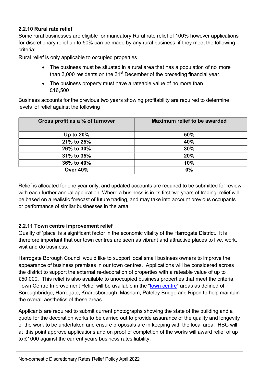#### 2.2.10 Rural rate relief

Some rural businesses are eligible for mandatory Rural rate relief of 100% however applications for discretionary relief up to 50% can be made by any rural business, if they meet the following criteria;

Rural relief is only applicable to occupied properties

- The business must be situated in a rural area that has a population of no more than 3,000 residents on the  $31<sup>st</sup>$  December of the preceding financial year.
- The business property must have a rateable value of no more than £16,500

Business accounts for the previous two years showing profitability are required to determine levels of relief against the following

| Gross profit as a % of turnover | Maximum relief to be awarded |
|---------------------------------|------------------------------|
| Up to 20%                       | 50%                          |
| 21% to 25%                      | 40%                          |
| 26% to 30%                      | 30%                          |
| 31% to 35%                      | 20%                          |
| 36% to 40%                      | 10%                          |
| <b>Over 40%</b>                 | 0%                           |

Relief is allocated for one year only, and updated accounts are required to be submitted for review with each further annual application. Where a business is in its first two years of trading, relief will be based on a realistic forecast of future trading, and may take into account previous occupants or performance of similar businesses in the area.

#### 2.2.11 Town centre improvement relief

Quality of 'place' is a significant factor in the economic vitality of the Harrogate District. It is therefore important that our town centres are seen as vibrant and attractive places to live, work, visit and do business.

Harrogate Borough Council would like to support local small business owners to improve the appearance of business premises in our town centres. Applications will be considered across the district to support the external re-decoration of properties with a rateable value of up to £50,000. This relief is also available to unoccupied business properties that meet the criteria. Town Centre Improvement Relief will be available in the "town centre" areas as defined of Boroughbridge, Harrogate, Knaresborough, Masham, Pateley Bridge and Ripon to help maintain the overall aesthetics of these areas.

Applicants are required to submit current photographs showing the state of the building and a quote for the decoration works to be carried out to provide assurance of the quality and longevity of the work to be undertaken and ensure proposals are in keeping with the local area. HBC will at this point approve applications and on proof of completion of the works will award relief of up to £1000 against the current years business rates liability.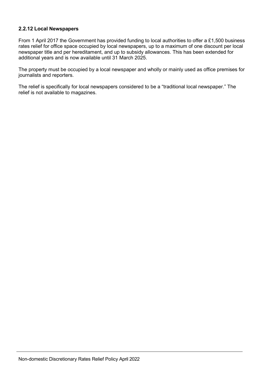#### 2.2.12 Local Newspapers

From 1 April 2017 the Government has provided funding to local authorities to offer a £1,500 business rates relief for office space occupied by local newspapers, up to a maximum of one discount per local newspaper title and per hereditament, and up to subsidy allowances. This has been extended for additional years and is now available until 31 March 2025.

The property must be occupied by a local newspaper and wholly or mainly used as office premises for journalists and reporters.

The relief is specifically for local newspapers considered to be a "traditional local newspaper." The relief is not available to magazines.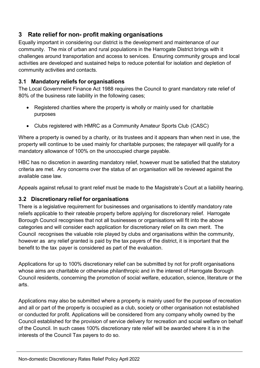# 3 Rate relief for non- profit making organisations

Equally important in considering our district is the development and maintenance of our community. The mix of urban and rural populations in the Harrogate District brings with it challenges around transportation and access to services. Ensuring community groups and local activities are developed and sustained helps to reduce potential for isolation and depletion of community activities and contacts.

## 3.1 Mandatory reliefs for organisations

The Local Government Finance Act 1988 requires the Council to grant mandatory rate relief of 80% of the business rate liability in the following cases;

- Registered charities where the property is wholly or mainly used for charitable purposes
- Clubs registered with HMRC as a Community Amateur Sports Club (CASC)

Where a property is owned by a charity, or its trustees and it appears than when next in use, the property will continue to be used mainly for charitable purposes; the ratepayer will qualify for a mandatory allowance of 100% on the unoccupied charge payable.

HBC has no discretion in awarding mandatory relief, however must be satisfied that the statutory criteria are met. Any concerns over the status of an organisation will be reviewed against the available case law.

Appeals against refusal to grant relief must be made to the Magistrate's Court at a liability hearing.

## 3.2 Discretionary relief for organisations

There is a legislative requirement for businesses and organisations to identify mandatory rate reliefs applicable to their rateable property before applying for discretionary relief. Harrogate Borough Council recognises that not all businesses or organisations will fit into the above categories and will consider each application for discretionary relief on its own merit. The Council recognises the valuable role played by clubs and organisations within the community, however as any relief granted is paid by the tax payers of the district, it is important that the benefit to the tax payer is considered as part of the evaluation.

Applications for up to 100% discretionary relief can be submitted by not for profit organisations whose aims are charitable or otherwise philanthropic and in the interest of Harrogate Borough Council residents, concerning the promotion of social welfare, education, science, literature or the arts.

Applications may also be submitted where a property is mainly used for the purpose of recreation and all or part of the property is occupied as a club, society or other organisation not established or conducted for profit. Applications will be considered from any company wholly owned by the Council established for the provision of service delivery for recreation and social welfare on behalf of the Council. In such cases 100% discretionary rate relief will be awarded where it is in the interests of the Council Tax payers to do so.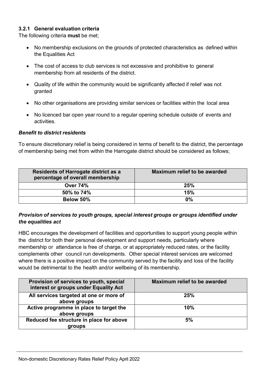#### 3.2.1 General evaluation criteria

The following criteria must be met;

- No membership exclusions on the grounds of protected characteristics as defined within the Equalities Act
- The cost of access to club services is not excessive and prohibitive to general membership from all residents of the district.
- Quality of life within the community would be significantly affected if relief was not granted
- No other organisations are providing similar services or facilities within the local area
- No licenced bar open year round to a regular opening schedule outside of events and activities.

#### Benefit to district residents

To ensure discretionary relief is being considered in terms of benefit to the district, the percentage of membership being met from within the Harrogate district should be considered as follows;

| <b>Residents of Harrogate district as a</b><br>percentage of overall membership | Maximum relief to be awarded |  |
|---------------------------------------------------------------------------------|------------------------------|--|
| <b>Over 74%</b>                                                                 | 25%                          |  |
| 50% to 74%                                                                      | 15%                          |  |
| Below 50%                                                                       | 0%                           |  |

#### Provision of services to youth groups, special interest groups or groups identified under the equalities act

HBC encourages the development of facilities and opportunities to support young people within the district for both their personal development and support needs, particularly where membership or attendance is free of charge, or at appropriately reduced rates, or the facility complements other council run developments. Other special interest services are welcomed where there is a positive impact on the community served by the facility and loss of the facility would be detrimental to the health and/or wellbeing of its membership.

| Provision of services to youth, special<br>interest or groups under Equality Act | Maximum relief to be awarded |
|----------------------------------------------------------------------------------|------------------------------|
| All services targeted at one or more of<br>above groups                          | 25%                          |
| Active programme in place to target the<br>above groups                          | 10%                          |
| Reduced fee structure in place for above<br>groups                               | 5%                           |